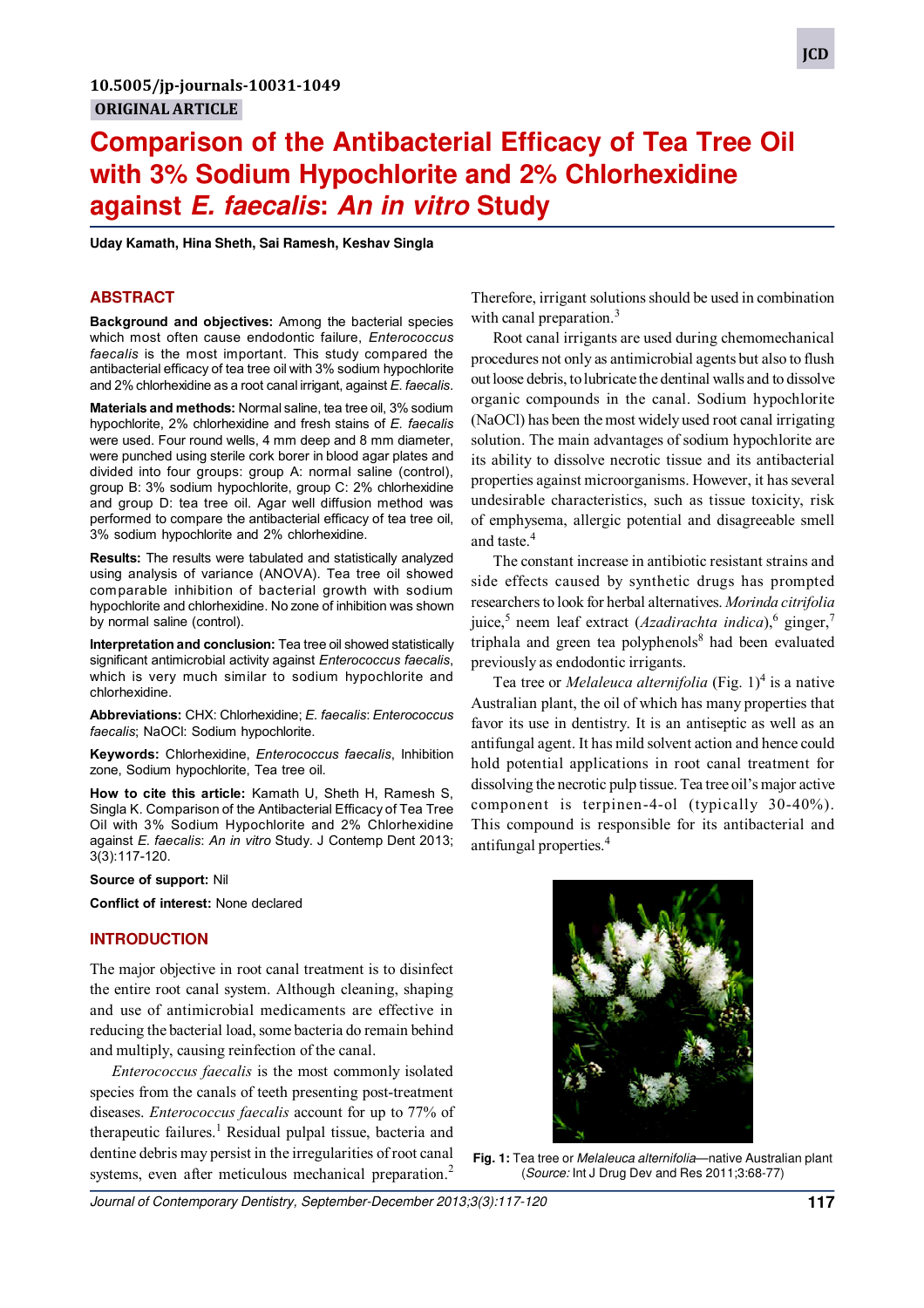# **Comparison of the Antibacterial Efficacy of Tea Tree Oil with 3% Sodium Hypochlorite and 2% Chlorhexidine against E. faecalis: An in vitro Study**

**Uday Kamath, Hina Sheth, Sai Ramesh, Keshav Singla**

## **ABSTRACT**

**Background and objectives:** Among the bacterial species which most often cause endodontic failure, *Enterococcus faecalis* is the most important. This study compared the antibacterial efficacy of tea tree oil with 3% sodium hypochlorite and 2% chlorhexidine as a root canal irrigant, against *E. faecalis*.

**Materials and methods:** Normal saline, tea tree oil, 3% sodium hypochlorite, 2% chlorhexidine and fresh stains of *E. faecalis* were used. Four round wells, 4 mm deep and 8 mm diameter, were punched using sterile cork borer in blood agar plates and divided into four groups: group A: normal saline (control), group B: 3% sodium hypochlorite, group C: 2% chlorhexidine and group D: tea tree oil. Agar well diffusion method was performed to compare the antibacterial efficacy of tea tree oil, 3% sodium hypochlorite and 2% chlorhexidine.

**Results:** The results were tabulated and statistically analyzed using analysis of variance (ANOVA). Tea tree oil showed comparable inhibition of bacterial growth with sodium hypochlorite and chlorhexidine. No zone of inhibition was shown by normal saline (control).

**Interpretation and conclusion:** Tea tree oil showed statistically significant antimicrobial activity against *Enterococcus faecalis*, which is very much similar to sodium hypochlorite and chlorhexidine.

**Abbreviations:** CHX: Chlorhexidine; *E. faecalis*: *Enterococcus faecalis*; NaOCl: Sodium hypochlorite.

**Keywords:** Chlorhexidine, *Enterococcus faecalis*, Inhibition zone, Sodium hypochlorite, Tea tree oil.

**How to cite this article:** Kamath U, Sheth H, Ramesh S, Singla K. Comparison of the Antibacterial Efficacy of Tea Tree Oil with 3% Sodium Hypochlorite and 2% Chlorhexidine against *E. faecalis*: *An in vitro* Study. J Contemp Dent 2013; 3(3):117-120.

**Source of support:** Nil

**Conflict of interest:** None declared

#### **INTRODUCTION**

The major objective in root canal treatment is to disinfect the entire root canal system. Although cleaning, shaping and use of antimicrobial medicaments are effective in reducing the bacterial load, some bacteria do remain behind and multiply, causing reinfection of the canal.

*Enterococcus faecalis* is the most commonly isolated species from the canals of teeth presenting post-treatment diseases. *Enterococcus faecalis* account for up to 77% of therapeutic failures.<sup>1</sup> Residual pulpal tissue, bacteria and dentine debris may persist in the irregularities of root canal systems, even after meticulous mechanical preparation.<sup>2</sup>

Therefore, irrigant solutions should be used in combination with canal preparation. $3$ 

Root canal irrigants are used during chemomechanical procedures not only as antimicrobial agents but also to flush out loose debris, to lubricate the dentinal walls and to dissolve organic compounds in the canal. Sodium hypochlorite (NaOCl) has been the most widely used root canal irrigating solution. The main advantages of sodium hypochlorite are its ability to dissolve necrotic tissue and its antibacterial properties against microorganisms. However, it has several undesirable characteristics, such as tissue toxicity, risk of emphysema, allergic potential and disagreeable smell and taste.<sup>4</sup>

The constant increase in antibiotic resistant strains and side effects caused by synthetic drugs has prompted researchers to look for herbal alternatives. *Morinda citrifolia* juice,<sup>5</sup> neem leaf extract (*Azadirachta indica*),<sup>6</sup> ginger,<sup>7</sup> triphala and green tea polyphenols<sup>8</sup> had been evaluated previously as endodontic irrigants.

Tea tree or *Melaleuca alternifolia* (Fig. 1)<sup>4</sup> is a native Australian plant, the oil of which has many properties that favor its use in dentistry. It is an antiseptic as well as an antifungal agent. It has mild solvent action and hence could hold potential applications in root canal treatment for dissolving the necrotic pulp tissue. Tea tree oil's major active component is terpinen-4-ol (typically 30-40%). This compound is responsible for its antibacterial and antifungal properties.<sup>4</sup>

Fig. 1: Tea tree or *Melaleuca alternifolia*—native Australian plant (Source: Int J Drug Dev and Res 2011;3:68-77)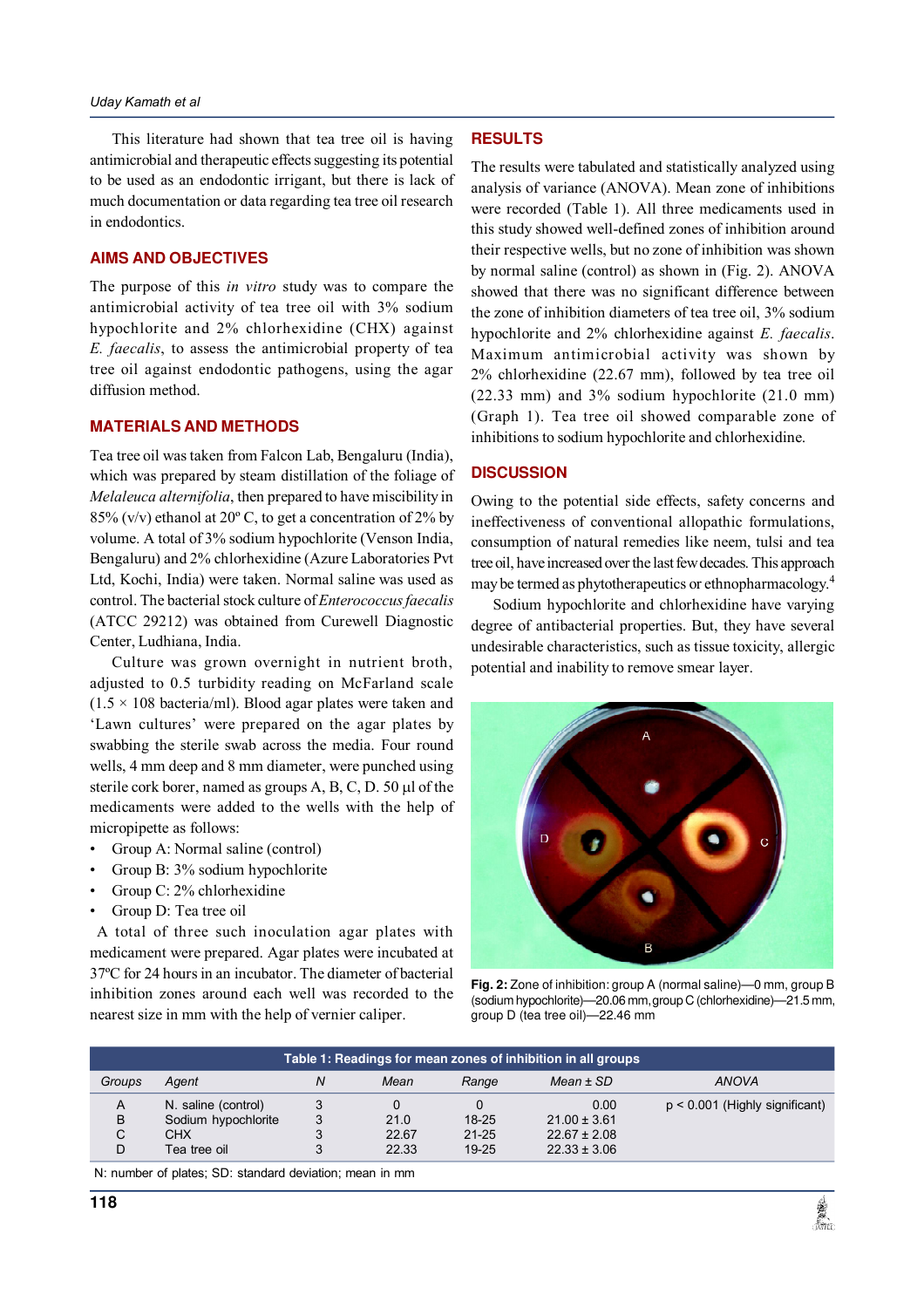This literature had shown that tea tree oil is having antimicrobial and therapeutic effects suggesting its potential to be used as an endodontic irrigant, but there is lack of much documentation or data regarding tea tree oil research in endodontics.

## **AIMS AND OBJECTIVES**

The purpose of this *in vitro* study was to compare the antimicrobial activity of tea tree oil with 3% sodium hypochlorite and 2% chlorhexidine (CHX) against *E. faecalis*, to assess the antimicrobial property of tea tree oil against endodontic pathogens, using the agar diffusion method.

#### **MATERIALS AND METHODS**

Tea tree oil was taken from Falcon Lab, Bengaluru (India), which was prepared by steam distillation of the foliage of *Melaleuca alternifolia*, then prepared to have miscibility in 85% (v/v) ethanol at 20 $^{\circ}$  C, to get a concentration of 2% by volume. A total of 3% sodium hypochlorite (Venson India, Bengaluru) and 2% chlorhexidine (Azure Laboratories Pvt Ltd, Kochi, India) were taken. Normal saline was used as control. The bacterial stock culture of *Enterococcus faecalis* (ATCC 29212) was obtained from Curewell Diagnostic Center, Ludhiana, India.

Culture was grown overnight in nutrient broth, adjusted to 0.5 turbidity reading on McFarland scale  $(1.5 \times 108$  bacteria/ml). Blood agar plates were taken and 'Lawn cultures' were prepared on the agar plates by swabbing the sterile swab across the media. Four round wells, 4 mm deep and 8 mm diameter, were punched using sterile cork borer, named as groups  $A$ ,  $B$ ,  $C$ ,  $D$ .  $50 \mu l$  of the medicaments were added to the wells with the help of micropipette as follows:

- Group A: Normal saline (control)
- Group B: 3% sodium hypochlorite
- Group C: 2% chlorhexidine
- Group D: Tea tree oil

 A total of three such inoculation agar plates with medicament were prepared. Agar plates were incubated at 37ºC for 24 hours in an incubator. The diameter of bacterial inhibition zones around each well was recorded to the nearest size in mm with the help of vernier caliper.

#### **RESULTS**

The results were tabulated and statistically analyzed using analysis of variance (ANOVA). Mean zone of inhibitions were recorded (Table 1). All three medicaments used in this study showed well-defined zones of inhibition around their respective wells, but no zone of inhibition was shown by normal saline (control) as shown in (Fig. 2). ANOVA showed that there was no significant difference between the zone of inhibition diameters of tea tree oil, 3% sodium hypochlorite and 2% chlorhexidine against *E. faecalis*. Maximum antimicrobial activity was shown by 2% chlorhexidine (22.67 mm), followed by tea tree oil (22.33 mm) and 3% sodium hypochlorite (21.0 mm) (Graph 1). Tea tree oil showed comparable zone of inhibitions to sodium hypochlorite and chlorhexidine.

#### **DISCUSSION**

Owing to the potential side effects, safety concerns and ineffectiveness of conventional allopathic formulations, consumption of natural remedies like neem, tulsi and tea tree oil, have increased over the last few decades. This approach may be termed as phytotherapeutics or ethnopharmacology.<sup>4</sup>

Sodium hypochlorite and chlorhexidine have varying degree of antibacterial properties. But, they have several undesirable characteristics, such as tissue toxicity, allergic potential and inability to remove smear layer.



**Fig. 2:** Zone of inhibition: group A (normal saline)—0 mm, group B (sodium hypochlorite)—20.06 mm, group C (chlorhexidine)—21.5 mm, group D (tea tree oil)—22.46 mm

| Table 1: Readings for mean zones of inhibition in all groups |                                            |   |                |                        |                                      |                                  |
|--------------------------------------------------------------|--------------------------------------------|---|----------------|------------------------|--------------------------------------|----------------------------------|
| Groups                                                       | Aqent                                      | Ν | Mean           | Range                  | $Mean \pm SD$                        | <b>ANOVA</b>                     |
| A<br>B                                                       | N. saline (control)<br>Sodium hypochlorite |   | 21.0           | $18-25$                | 0.00<br>$21.00 \pm 3.61$             | $p < 0.001$ (Highly significant) |
| C<br>D                                                       | <b>CHX</b><br>Tea tree oil                 |   | 22.67<br>22.33 | $21 - 25$<br>$19 - 25$ | $22.67 \pm 2.08$<br>$22.33 \pm 3.06$ |                                  |

N: number of plates; SD: standard deviation; mean in mm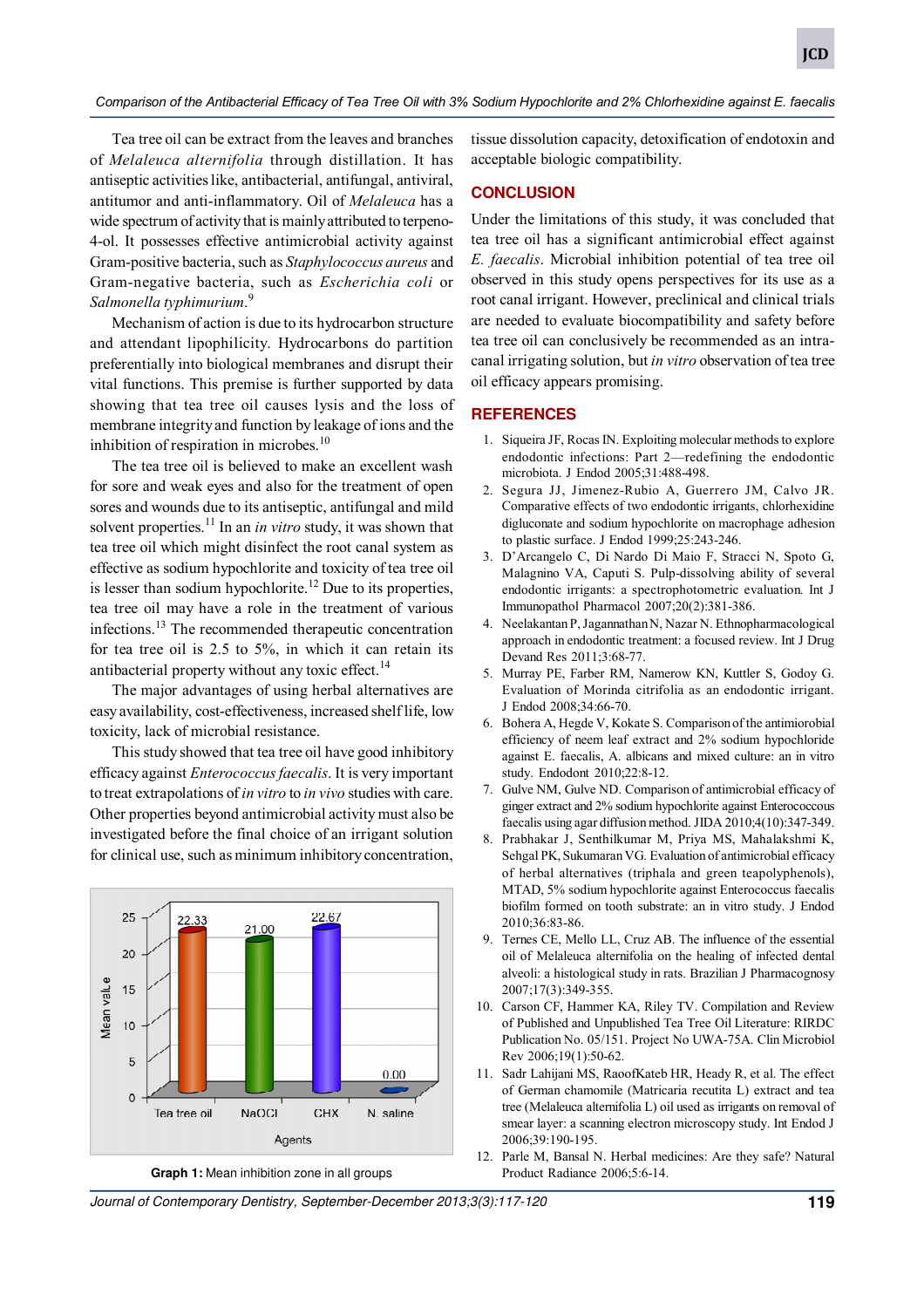#### *Comparison of the Antibacterial Efficacy of Tea Tree Oil with 3% Sodium Hypochlorite and 2% Chlorhexidine against E. faecalis*

Tea tree oil can be extract from the leaves and branches of *Melaleuca alternifolia* through distillation. It has antiseptic activities like, antibacterial, antifungal, antiviral, antitumor and anti-inflammatory. Oil of *Melaleuca* has a wide spectrum of activity that is mainly attributed to terpeno-4-ol. It possesses effective antimicrobial activity against Gram-positive bacteria, such as *Staphylococcus aureus* and Gram-negative bacteria, such as *Escherichia coli* or *Salmonella typhimurium*. 9

Mechanism of action is due to its hydrocarbon structure and attendant lipophilicity. Hydrocarbons do partition preferentially into biological membranes and disrupt their vital functions. This premise is further supported by data showing that tea tree oil causes lysis and the loss of membrane integrity and function by leakage of ions and the inhibition of respiration in microbes. $10$ 

The tea tree oil is believed to make an excellent wash for sore and weak eyes and also for the treatment of open sores and wounds due to its antiseptic, antifungal and mild solvent properties.<sup>11</sup> In an *in vitro* study, it was shown that tea tree oil which might disinfect the root canal system as effective as sodium hypochlorite and toxicity of tea tree oil is lesser than sodium hypochlorite.<sup>12</sup> Due to its properties, tea tree oil may have a role in the treatment of various infections.<sup>13</sup> The recommended therapeutic concentration for tea tree oil is 2.5 to 5%, in which it can retain its antibacterial property without any toxic effect.<sup>14</sup>

The major advantages of using herbal alternatives are easy availability, cost-effectiveness, increased shelf life, low toxicity, lack of microbial resistance.

This study showed that tea tree oil have good inhibitory efficacy against *Enterococcus faecalis*. It is very important to treat extrapolations of *in vitro* to *in vivo* studies with care. Other properties beyond antimicrobial activity must also be investigated before the final choice of an irrigant solution for clinical use, such as minimum inhibitory concentration,



tissue dissolution capacity, detoxification of endotoxin and acceptable biologic compatibility.

### **CONCLUSION**

Under the limitations of this study, it was concluded that tea tree oil has a significant antimicrobial effect against *E. faecalis*. Microbial inhibition potential of tea tree oil observed in this study opens perspectives for its use as a root canal irrigant. However, preclinical and clinical trials are needed to evaluate biocompatibility and safety before tea tree oil can conclusively be recommended as an intracanal irrigating solution, but *in vitro* observation of tea tree oil efficacy appears promising.

## **REFERENCES**

- 1. Siqueira JF, Rocas IN. Exploiting molecular methods to explore endodontic infections: Part 2—redefining the endodontic microbiota. J Endod 2005;31:488-498.
- 2. Segura JJ, Jimenez-Rubio A, Guerrero JM, Calvo JR. Comparative effects of two endodontic irrigants, chlorhexidine digluconate and sodium hypochlorite on macrophage adhesion to plastic surface. J Endod 1999;25:243-246.
- 3. D'Arcangelo C, Di Nardo Di Maio F, Stracci N, Spoto G, Malagnino VA, Caputi S. Pulp-dissolving ability of several endodontic irrigants: a spectrophotometric evaluation. Int J Immunopathol Pharmacol 2007;20(2):381-386.
- 4. Neelakantan P, Jagannathan N, Nazar N. Ethnopharmacological approach in endodontic treatment: a focused review. Int J Drug Devand Res 2011;3:68-77.
- 5. Murray PE, Farber RM, Namerow KN, Kuttler S, Godoy G. Evaluation of Morinda citrifolia as an endodontic irrigant. J Endod 2008;34:66-70.
- 6. Bohera A, Hegde V, Kokate S. Comparison of the antimiorobial efficiency of neem leaf extract and 2% sodium hypochloride against E. faecalis, A. albicans and mixed culture: an in vitro study. Endodont 2010;22:8-12.
- 7. Gulve NM, Gulve ND. Comparison of antimicrobial efficacy of ginger extract and 2% sodium hypochlorite against Enterococcous faecalis using agar diffusion method. JIDA 2010;4(10):347-349.
- 8. Prabhakar J, Senthilkumar M, Priya MS, Mahalakshmi K, Sehgal PK, Sukumaran VG. Evaluation of antimicrobial efficacy of herbal alternatives (triphala and green teapolyphenols), MTAD, 5% sodium hypochlorite against Enterococcus faecalis biofilm formed on tooth substrate: an in vitro study. J Endod 2010;36:83-86.
- 9. Ternes CE, Mello LL, Cruz AB. The influence of the essential oil of Melaleuca alternifolia on the healing of infected dental alveoli: a histological study in rats. Brazilian J Pharmacognosy 2007;17(3):349-355.
- 10. Carson CF, Hammer KA, Riley TV. Compilation and Review of Published and Unpublished Tea Tree Oil Literature: RIRDC Publication No. 05/151. Project No UWA-75A. Clin Microbiol Rev 2006;19(1):50-62.
- 11. Sadr Lahijani MS, RaoofKateb HR, Heady R, et al. The effect of German chamomile (Matricaria recutita L) extract and tea tree (Melaleuca alternifolia L) oil used as irrigants on removal of smear layer: a scanning electron microscopy study. Int Endod J 2006;39:190-195.
- 12. Parle M, Bansal N. Herbal medicines: Are they safe? Natural

Journal of Contemporary Dentistry, September-December 2013;3(3):117-120 **119**